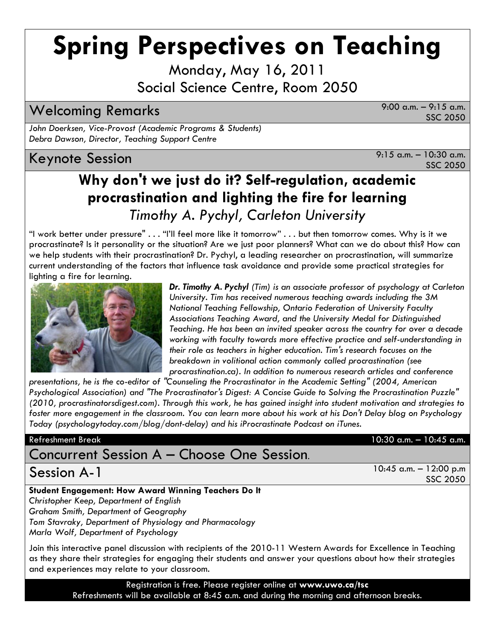# **Spring Perspectives on Teaching**

Monday, May 16, 2011 Social Science Centre, Room 2050

## Welcoming Remarks 9:00 a.m. – 9:15 a.m.

SSC 2050

*John Doerksen, Vice-Provost (Academic Programs & Students) Debra Dawson, Director, Teaching Support Centre*

## Keynote Session 8:15 a.m. – 10:30 a.m.

SSC 2050

## **Why don't we just do it? Self-regulation, academic procrastination and lighting the fire for learning** *Timothy A. Pychyl, Carleton University*

"I work better under pressure" . . . "I'll feel more like it tomorrow" . . . but then tomorrow comes. Why is it we procrastinate? Is it personality or the situation? Are we just poor planners? What can we do about this? How can we help students with their procrastination? Dr. Pychyl, a leading researcher on procrastination, will summarize current understanding of the factors that influence task avoidance and provide some practical strategies for lighting a fire for learning.



*Dr. Timothy A. Pychyl (Tim) is an associate professor of psychology at Carleton University. Tim has received numerous teaching awards including the 3M National Teaching Fellowship, Ontario Federation of University Faculty Associations Teaching Award, and the University Medal for Distinguished Teaching. He has been an invited speaker across the country for over a decade working with faculty towards more effective practice and self-understanding in their role as teachers in higher education. Tim's research focuses on the breakdown in volitional action commonly called procrastination (see procrastination.ca). In addition to numerous research articles and conference* 

*presentations, he is the co-editor of "Counseling the Procrastinator in the Academic Setting" (2004, American Psychological Association) and "The Procrastinator's Digest: A Concise Guide to Solving the Procrastination Puzzle" (2010, procrastinatorsdigest.com). Through this work, he has gained insight into student motivation and strategies to foster more engagement in the classroom. You can learn more about his work at his Don't Delay blog on Psychology Today (psychologytoday.com/blog/dont-delay) and his iProcrastinate Podcast on iTunes.*

## Concurrent Session A – Choose One Session.

## **Student Engagement: How Award Winning Teachers Do It**

*Christopher Keep, Department of English Graham Smith, Department of Geography Tom Stavraky, Department of Physiology and Pharmacology Marla Wolf, Department of Psychology*

Join this interactive panel discussion with recipients of the 2010-11 Western Awards for Excellence in Teaching as they share their strategies for engaging their students and answer your questions about how their strategies and experiences may relate to your classroom.

> Registration is free. Please register online at **www.uwo.ca/tsc**  Refreshments will be available at 8:45 a.m. and during the morning and afternoon breaks.

### Refreshment Break 10:30 a.m. – 10:45 a.m.

Session A-1 10:45 a.m. – 12:00 p.m SSC 2050